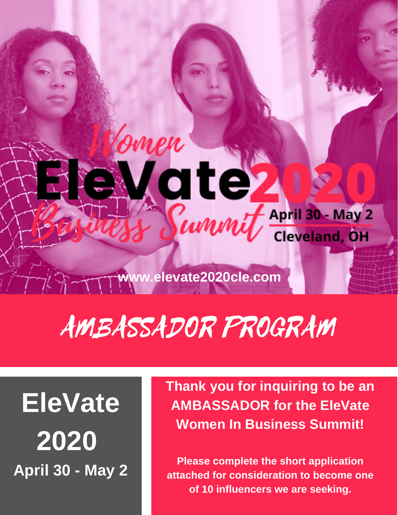**www.elevate2020cle.com** 

**ate** 

.<br>9men

#### AMBASSADOR PROGRAM

#### **EleVate 2020 April 30 - May 2**

**Thank you for inquiring to be an AMBASSADOR for the EleVate Women In Business Summit!**

WWWW Cleveland, OH

**Please complete the short application attached for consideration to become one of 10 influencers we are seeking.**